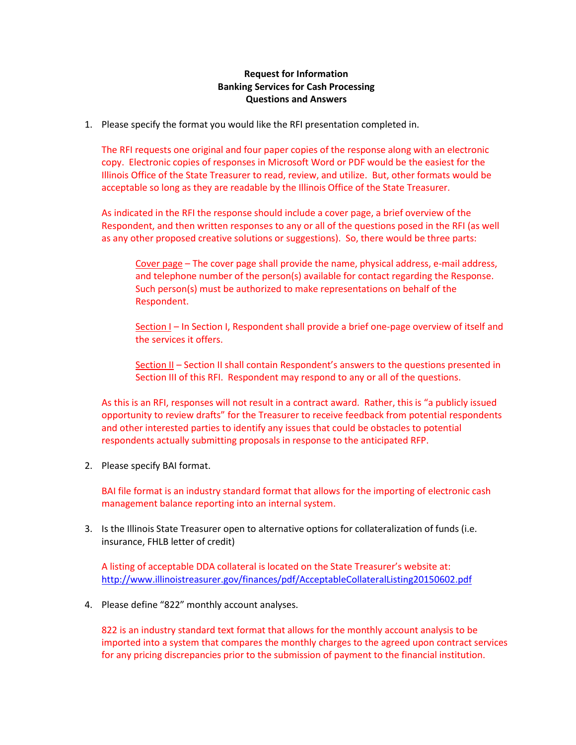## **Request for Information Banking Services for Cash Processing Questions and Answers**

1. Please specify the format you would like the RFI presentation completed in.

The RFI requests one original and four paper copies of the response along with an electronic copy. Electronic copies of responses in Microsoft Word or PDF would be the easiest for the Illinois Office of the State Treasurer to read, review, and utilize. But, other formats would be acceptable so long as they are readable by the Illinois Office of the State Treasurer.

As indicated in the RFI the response should include a cover page, a brief overview of the Respondent, and then written responses to any or all of the questions posed in the RFI (as well as any other proposed creative solutions or suggestions). So, there would be three parts:

Cover page – The cover page shall provide the name, physical address, e-mail address, and telephone number of the person(s) available for contact regarding the Response. Such person(s) must be authorized to make representations on behalf of the Respondent.

Section I – In Section I, Respondent shall provide a brief one-page overview of itself and the services it offers.

Section II – Section II shall contain Respondent's answers to the questions presented in Section III of this RFI. Respondent may respond to any or all of the questions.

As this is an RFI, responses will not result in a contract award. Rather, this is "a publicly issued opportunity to review drafts" for the Treasurer to receive feedback from potential respondents and other interested parties to identify any issues that could be obstacles to potential respondents actually submitting proposals in response to the anticipated RFP.

2. Please specify BAI format.

BAI file format is an industry standard format that allows for the importing of electronic cash management balance reporting into an internal system.

3. Is the Illinois State Treasurer open to alternative options for collateralization of funds (i.e. insurance, FHLB letter of credit)

A listing of acceptable DDA collateral is located on the State Treasurer's website at: <http://www.illinoistreasurer.gov/finances/pdf/AcceptableCollateralListing20150602.pdf>

4. Please define "822" monthly account analyses.

822 is an industry standard text format that allows for the monthly account analysis to be imported into a system that compares the monthly charges to the agreed upon contract services for any pricing discrepancies prior to the submission of payment to the financial institution.